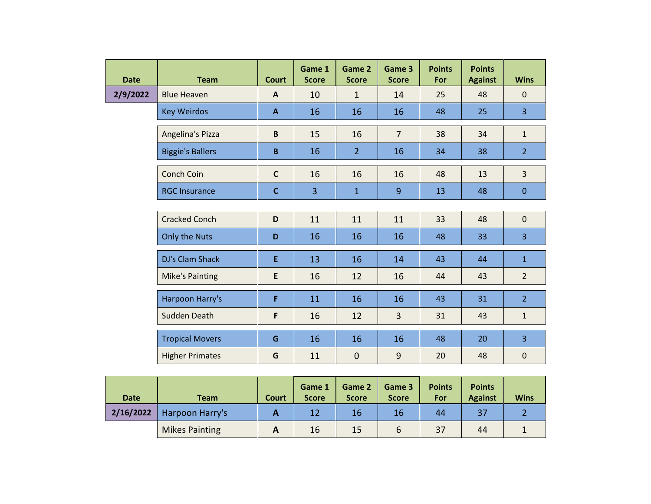| <b>Date</b> | <b>Team</b>             | <b>Court</b> | Game 1<br><b>Score</b> | Game 2<br><b>Score</b> | Game 3<br><b>Score</b> | <b>Points</b><br>For | <b>Points</b><br><b>Against</b> | <b>Wins</b>    |
|-------------|-------------------------|--------------|------------------------|------------------------|------------------------|----------------------|---------------------------------|----------------|
| 2/9/2022    | <b>Blue Heaven</b>      | $\mathbf{A}$ | 10                     | $\mathbf{1}$           | 14                     | 25                   | 48                              | $\mathbf{0}$   |
|             | <b>Key Weirdos</b>      | $\mathbf{A}$ | 16                     | 16                     | 16                     | 48                   | 25                              | $\overline{3}$ |
|             | Angelina's Pizza        | B            | 15                     | 16                     | $\overline{7}$         | 38                   | 34                              | $\mathbf{1}$   |
|             | <b>Biggie's Ballers</b> | B            | 16                     | $\overline{2}$         | 16                     | 34                   | 38                              | 2 <sup>1</sup> |
|             | <b>Conch Coin</b>       | $\mathbf c$  | 16                     | 16                     | 16                     | 48                   | 13                              | $\overline{3}$ |
|             | <b>RGC Insurance</b>    | $\mathbf{C}$ | 3                      | $\mathbf{1}$           | 9                      | 13                   | 48                              | $\mathbf{0}$   |
|             |                         |              |                        |                        |                        |                      |                                 |                |
|             | <b>Cracked Conch</b>    | D            | 11                     | 11                     | 11                     | 33                   | 48                              | $\mathbf 0$    |
|             | Only the Nuts           | D            | 16                     | 16                     | 16                     | 48                   | 33                              | $\overline{3}$ |
|             | DJ's Clam Shack         | E            | 13                     | 16                     | 14                     | 43                   | 44                              | $\mathbf{1}$   |
|             | <b>Mike's Painting</b>  | E            | 16                     | 12                     | 16                     | 44                   | 43                              | $\overline{2}$ |
|             | Harpoon Harry's         | F            | 11                     | 16                     | 16                     | 43                   | 31                              | 2 <sup>1</sup> |
|             | Sudden Death            | $\mathsf F$  | 16                     | 12                     | 3                      | 31                   | 43                              | $\mathbf{1}$   |
|             | <b>Tropical Movers</b>  | G            | 16                     | 16                     | 16                     | 48                   | 20                              | $\overline{3}$ |
|             | <b>Higher Primates</b>  | G            | 11                     | $\mathbf 0$            | 9                      | 20                   | 48                              | $\mathbf 0$    |

| <b>Date</b> | <b>Team</b>           | Court | Game 1<br><b>Score</b> | Game 2<br><b>Score</b> | Game 3<br><b>Score</b> | <b>Points</b><br>For | <b>Points</b><br><b>Against</b> | <b>Wins</b> |
|-------------|-----------------------|-------|------------------------|------------------------|------------------------|----------------------|---------------------------------|-------------|
| 2/16/2022   | Harpoon Harry's       |       | 12                     | 16                     | 16                     | 44                   | 37                              |             |
|             | <b>Mikes Painting</b> |       | 16                     | 15                     | 6                      | 37                   | 44                              |             |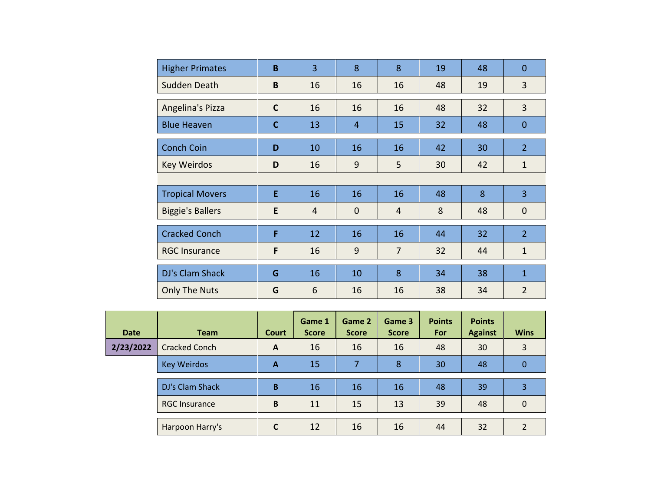| <b>Higher Primates</b>  | B            | $\overline{3}$ | 8              | 8              | 19 | 48 | $\overline{0}$ |
|-------------------------|--------------|----------------|----------------|----------------|----|----|----------------|
| Sudden Death            | B            | 16             | 16             | 16             | 48 | 19 | 3              |
| Angelina's Pizza        | $\mathsf{C}$ | 16             | 16             | 16             | 48 | 32 | 3              |
| <b>Blue Heaven</b>      | $\mathbf c$  | 13             | $\overline{4}$ | 15             | 32 | 48 | $\mathbf{0}$   |
| <b>Conch Coin</b>       | D            | 10             | 16             | 16             | 42 | 30 | $\overline{2}$ |
| <b>Key Weirdos</b>      | D            | 16             | 9              | 5              | 30 | 42 | $\mathbf{1}$   |
|                         |              |                |                |                |    |    |                |
| <b>Tropical Movers</b>  | E            | 16             | 16             | 16             | 48 | 8  | 3              |
| <b>Biggie's Ballers</b> | E            | $\overline{4}$ | $\mathbf 0$    | $\overline{4}$ | 8  | 48 | $\mathbf 0$    |
| <b>Cracked Conch</b>    | F            | 12             | 16             | 16             | 44 | 32 | $\overline{2}$ |
| <b>RGC Insurance</b>    | F            | 16             | 9              | $\overline{7}$ | 32 | 44 | $\mathbf{1}$   |
| DJ's Clam Shack         | G            | 16             | 10             | 8              | 34 | 38 | $\mathbf{1}$   |
| <b>Only The Nuts</b>    | G            | 6              | 16             | 16             | 38 | 34 | $\overline{2}$ |

| <b>Date</b> | <b>Team</b>          | <b>Court</b> | Game 1<br><b>Score</b> | Game 2<br><b>Score</b> | Game 3<br><b>Score</b> | <b>Points</b><br>For | <b>Points</b><br><b>Against</b> | <b>Wins</b>    |
|-------------|----------------------|--------------|------------------------|------------------------|------------------------|----------------------|---------------------------------|----------------|
| 2/23/2022   | <b>Cracked Conch</b> | A            | 16                     | 16                     | 16                     | 48                   | 30                              | 3              |
|             | <b>Key Weirdos</b>   | A            | 15                     |                        | 8                      | 30                   | 48                              | 0              |
|             | DJ's Clam Shack      | B            | 16                     | 16                     | 16                     | 48                   | 39                              | 3              |
|             | <b>RGC Insurance</b> | B            | 11                     | 15                     | 13                     | 39                   | 48                              | $\Omega$       |
|             | Harpoon Harry's      | C            | 12                     | 16                     | 16                     | 44                   | 32                              | $\mathfrak{p}$ |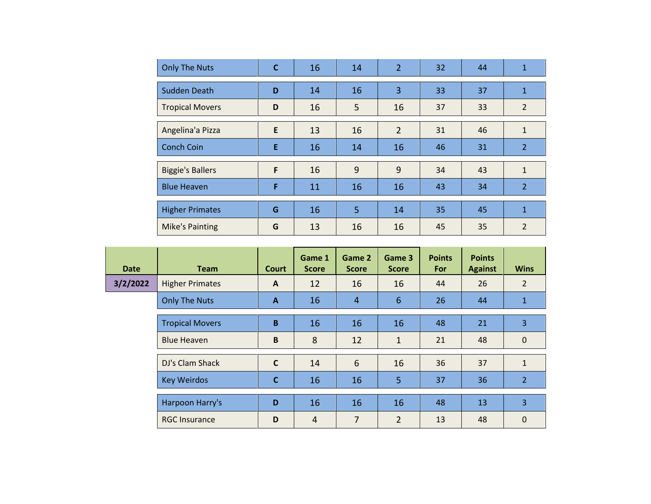| <b>Only The Nuts</b>    | $\mathbf c$ | 16 | 14 | $\overline{2}$ | 32 | 44 | $\mathbf{1}$   |
|-------------------------|-------------|----|----|----------------|----|----|----------------|
| Sudden Death            | D           | 14 | 16 | 3              | 33 | 37 | 1              |
| <b>Tropical Movers</b>  | D           | 16 | 5  | 16             | 37 | 33 | $\overline{2}$ |
| Angelina'a Pizza        | E           | 13 | 16 | $\overline{2}$ | 31 | 46 | $\mathbf{1}$   |
| <b>Conch Coin</b>       | E           | 16 | 14 | 16             | 46 | 31 | 2              |
| <b>Biggie's Ballers</b> | F           | 16 | 9  | 9              | 34 | 43 | $\mathbf{1}$   |
| <b>Blue Heaven</b>      | F           | 11 | 16 | 16             | 43 | 34 | $\overline{2}$ |
| <b>Higher Primates</b>  | G           | 16 | 5  | 14             | 35 | 45 | $\mathbf{1}$   |
| <b>Mike's Painting</b>  | G           | 13 | 16 | 16             | 45 | 35 | $\overline{2}$ |

| <b>Date</b> | <b>Team</b>            | <b>Court</b> | Game 1<br><b>Score</b> | Game 2<br><b>Score</b> | Game 3<br><b>Score</b> | <b>Points</b><br>For | <b>Points</b><br><b>Against</b> | <b>Wins</b>    |
|-------------|------------------------|--------------|------------------------|------------------------|------------------------|----------------------|---------------------------------|----------------|
| 3/2/2022    | <b>Higher Primates</b> | $\mathsf{A}$ | 12                     | 16                     | 16                     | 44                   | 26                              | $\overline{2}$ |
|             | <b>Only The Nuts</b>   | $\mathbf{A}$ | 16                     | $\overline{4}$         | $6\phantom{1}6$        | 26                   | 44                              | $\mathbf{1}$   |
|             | <b>Tropical Movers</b> | B            | 16                     | 16                     | 16                     | 48                   | 21                              | 3              |
|             | <b>Blue Heaven</b>     | $\, {\bf B}$ | 8                      | 12                     | $\mathbf{1}$           | 21                   | 48                              | $\mathbf 0$    |
|             | DJ's Clam Shack        | $\mathsf{C}$ | 14                     | $6\phantom{1}6$        | 16                     | 36                   | 37                              | $\mathbf{1}$   |
|             | <b>Key Weirdos</b>     | $\mathbf c$  | 16                     | 16                     | 5                      | 37                   | 36                              | $\overline{2}$ |
|             | Harpoon Harry's        | D            | 16                     | 16                     | 16                     | 48                   | 13                              | 3              |
|             | <b>RGC Insurance</b>   | D            | $\overline{4}$         | 7                      | $\overline{2}$         | 13                   | 48                              | $\mathbf 0$    |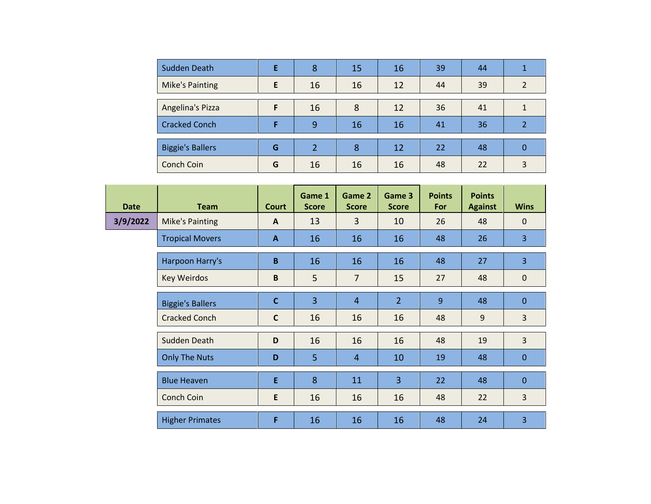| Sudden Death            |   | 8             | 15 | 16 | 39 | 44 |   |
|-------------------------|---|---------------|----|----|----|----|---|
| <b>Mike's Painting</b>  | E | 16            | 16 | 12 | 44 | 39 |   |
|                         |   |               |    |    |    |    |   |
| Angelina's Pizza        | Е | 16            | 8  | 12 | 36 | 41 |   |
| <b>Cracked Conch</b>    |   | 9             | 16 | 16 | 41 | 36 |   |
|                         |   |               |    |    |    |    |   |
| <b>Biggie's Ballers</b> | G | $\mathcal{P}$ | 8  | 12 | 22 | 48 | 0 |
| Conch Coin              | G | 16            | 16 | 16 | 48 | 22 | 3 |

| <b>Date</b> | <b>Team</b>             | <b>Court</b> | Game 1<br><b>Score</b> | Game 2<br><b>Score</b> | Game 3<br><b>Score</b> | <b>Points</b><br>For | <b>Points</b><br><b>Against</b> | <b>Wins</b>    |
|-------------|-------------------------|--------------|------------------------|------------------------|------------------------|----------------------|---------------------------------|----------------|
| 3/9/2022    | <b>Mike's Painting</b>  | $\mathsf{A}$ | 13                     | $\overline{3}$         | 10                     | 26                   | 48                              | $\mathbf{0}$   |
|             | <b>Tropical Movers</b>  | $\mathbf{A}$ | 16                     | 16                     | 16                     | 48                   | 26                              | $\overline{3}$ |
|             | Harpoon Harry's         | $\mathbf B$  | 16                     | 16                     | 16                     | 48                   | 27                              | $\overline{3}$ |
|             | <b>Key Weirdos</b>      | B            | 5                      | $\overline{7}$         | 15                     | 27                   | 48                              | $\mathbf 0$    |
|             | <b>Biggie's Ballers</b> | $\mathbf{C}$ | $\overline{3}$         | $\overline{4}$         | 2 <sup>1</sup>         | 9                    | 48                              | $\mathbf{0}$   |
|             | <b>Cracked Conch</b>    | $\mathbf{C}$ | 16                     | 16                     | 16                     | 48                   | 9                               | $\overline{3}$ |
|             | Sudden Death            | D            | 16                     | 16                     | 16                     | 48                   | 19                              | $\overline{3}$ |
|             | <b>Only The Nuts</b>    | D            | 5                      | $\overline{4}$         | 10                     | 19                   | 48                              | $\mathbf{0}$   |
|             | <b>Blue Heaven</b>      | E            | 8                      | 11                     | $\overline{3}$         | 22                   | 48                              | $\mathbf{0}$   |
|             | Conch Coin              | E            | 16                     | 16                     | 16                     | 48                   | 22                              | 3              |
|             | <b>Higher Primates</b>  | F            | 16                     | 16                     | 16                     | 48                   | 24                              | 3              |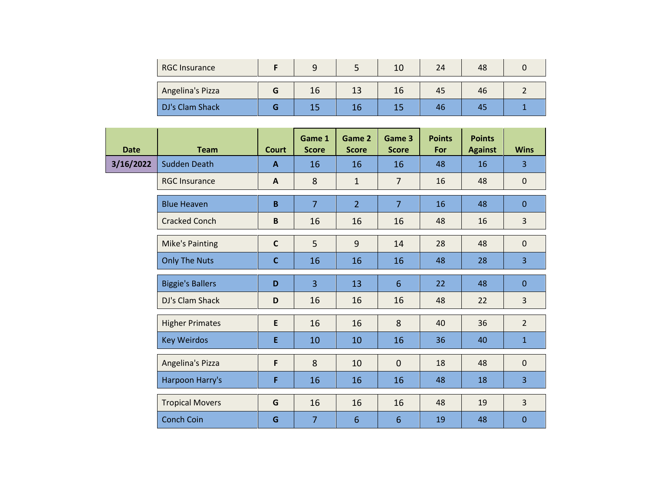| <b>RGC Insurance</b> |    |    | 10 | 24 | 48 |  |
|----------------------|----|----|----|----|----|--|
| Angelina's Pizza     | Τp | 13 | 16 | 45 | 46 |  |
| DJ's Clam Shack      |    |    |    | 46 | Δ' |  |

| <b>Date</b> | <b>Team</b>             | <b>Court</b> | Game 1<br><b>Score</b> | Game 2<br><b>Score</b> | Game 3<br><b>Score</b> | <b>Points</b><br>For | <b>Points</b><br><b>Against</b> | <b>Wins</b>    |
|-------------|-------------------------|--------------|------------------------|------------------------|------------------------|----------------------|---------------------------------|----------------|
| 3/16/2022   | <b>Sudden Death</b>     | $\mathbf{A}$ | 16                     | 16                     | 16                     | 48                   | 16                              | $\overline{3}$ |
|             | <b>RGC Insurance</b>    | $\mathbf{A}$ | 8                      | $\mathbf{1}$           | $\overline{7}$         | 16                   | 48                              | $\mathbf 0$    |
|             | <b>Blue Heaven</b>      | B.           | $\overline{7}$         | 2 <sup>1</sup>         | $\overline{7}$         | 16                   | 48                              | $\mathbf{0}$   |
|             | <b>Cracked Conch</b>    | B            | 16                     | 16                     | 16                     | 48                   | 16                              | 3              |
|             | <b>Mike's Painting</b>  | $\mathsf{C}$ | 5                      | $\overline{9}$         | 14                     | 28                   | 48                              | $\mathbf{0}$   |
|             | <b>Only The Nuts</b>    | $\mathbf{C}$ | 16                     | 16                     | 16                     | 48                   | 28                              | $\overline{3}$ |
|             | <b>Biggie's Ballers</b> | D            | $\overline{3}$         | 13                     | 6                      | 22                   | 48                              | $\mathbf{0}$   |
|             | DJ's Clam Shack         | D            | 16                     | 16                     | 16                     | 48                   | 22                              | $\overline{3}$ |
|             | <b>Higher Primates</b>  | E            | 16                     | 16                     | 8                      | 40                   | 36                              | $\overline{2}$ |
|             | <b>Key Weirdos</b>      | E.           | 10                     | 10                     | 16                     | 36                   | 40                              | $\mathbf{1}$   |
|             | Angelina's Pizza        | F            | 8                      | 10                     | $\overline{0}$         | 18                   | 48                              | $\overline{0}$ |
|             | Harpoon Harry's         | F            | 16                     | 16                     | 16                     | 48                   | 18                              | $\overline{3}$ |
|             | <b>Tropical Movers</b>  | G            | 16                     | 16                     | 16                     | 48                   | 19                              | $\overline{3}$ |
|             | <b>Conch Coin</b>       | G            | $\overline{7}$         | $6\phantom{1}$         | 6                      | 19                   | 48                              | $\mathbf 0$    |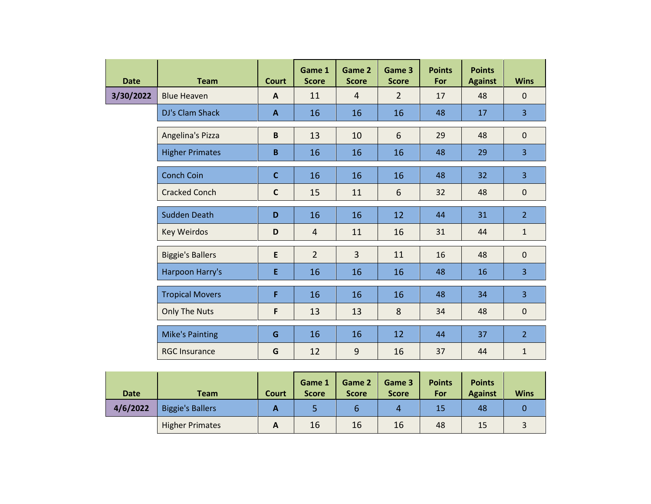| <b>Date</b> | <b>Team</b>             | <b>Court</b> | Game 1<br><b>Score</b> | Game 2<br><b>Score</b> | Game 3<br><b>Score</b> | <b>Points</b><br>For | <b>Points</b><br><b>Against</b> | <b>Wins</b>    |
|-------------|-------------------------|--------------|------------------------|------------------------|------------------------|----------------------|---------------------------------|----------------|
| 3/30/2022   | <b>Blue Heaven</b>      | A            | 11                     | $\overline{4}$         | $\overline{2}$         | 17                   | 48                              | $\mathbf 0$    |
|             | DJ's Clam Shack         | A            | 16                     | 16                     | 16                     | 48                   | 17                              | $\overline{3}$ |
|             | Angelina's Pizza        | B            | 13                     | 10                     | 6                      | 29                   | 48                              | $\mathbf 0$    |
|             | <b>Higher Primates</b>  | B            | 16                     | 16                     | 16                     | 48                   | 29                              | 3              |
|             | <b>Conch Coin</b>       | $\mathbf C$  | 16                     | 16                     | 16                     | 48                   | 32                              | $\overline{3}$ |
|             | <b>Cracked Conch</b>    | $\mathsf{C}$ | 15                     | 11                     | 6                      | 32                   | 48                              | $\mathbf 0$    |
|             | <b>Sudden Death</b>     | D            | 16                     | 16                     | 12                     | 44                   | 31                              | $\overline{2}$ |
|             | <b>Key Weirdos</b>      | D            | $\overline{4}$         | 11                     | 16                     | 31                   | 44                              | $\mathbf{1}$   |
|             | <b>Biggie's Ballers</b> | E            | $\overline{2}$         | $\overline{3}$         | 11                     | 16                   | 48                              | $\mathbf{0}$   |
|             | Harpoon Harry's         | E            | 16                     | 16                     | 16                     | 48                   | 16                              | 3              |
|             | <b>Tropical Movers</b>  | F            | 16                     | 16                     | 16                     | 48                   | 34                              | $\overline{3}$ |
|             | <b>Only The Nuts</b>    | F            | 13                     | 13                     | 8                      | 34                   | 48                              | $\mathbf 0$    |
|             | <b>Mike's Painting</b>  | G            | 16                     | 16                     | 12                     | 44                   | 37                              | $\overline{2}$ |
|             | <b>RGC Insurance</b>    | G            | 12                     | 9                      | 16                     | 37                   | 44                              | $\mathbf{1}$   |

| <b>Date</b> | <b>Team</b>             | Court      | Game 1<br><b>Score</b> | Game 2<br><b>Score</b> | Game 3<br><b>Score</b> | <b>Points</b><br>For | <b>Points</b><br><b>Against</b> | <b>Wins</b> |
|-------------|-------------------------|------------|------------------------|------------------------|------------------------|----------------------|---------------------------------|-------------|
| 4/6/2022    | <b>Biggie's Ballers</b> | n          |                        | b                      | 4                      | 15                   | 48                              |             |
|             | <b>Higher Primates</b>  | $\sqrt{ }$ | 16                     | 16                     | 16                     | 48                   | 15                              |             |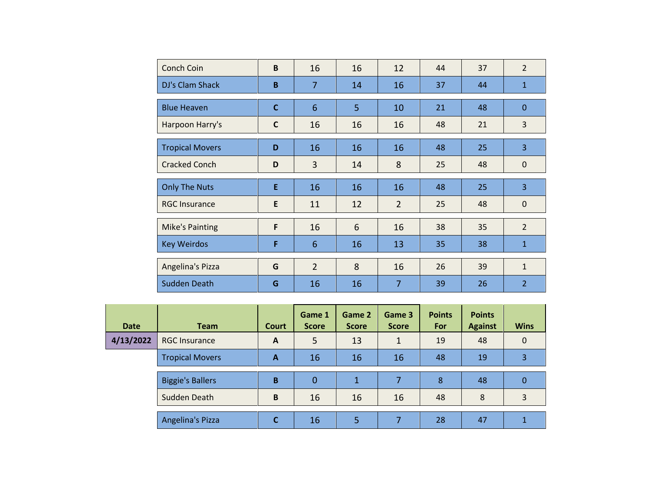| Conch Coin             | B            | 16             | 16 | 12             | 44 | 37 | $\overline{2}$ |
|------------------------|--------------|----------------|----|----------------|----|----|----------------|
| DJ's Clam Shack        | B            | $\overline{7}$ | 14 | 16             | 37 | 44 | $\mathbf{1}$   |
| <b>Blue Heaven</b>     | $\mathbf{C}$ | 6              | 5  | 10             | 21 | 48 | $\mathbf{0}$   |
| Harpoon Harry's        | $\mathsf{C}$ | 16             | 16 | 16             | 48 | 21 | 3              |
| <b>Tropical Movers</b> | D            | 16             | 16 | 16             | 48 | 25 | $\overline{3}$ |
| <b>Cracked Conch</b>   | D            | 3              | 14 | 8              | 25 | 48 | $\mathbf 0$    |
| <b>Only The Nuts</b>   | E            | 16             | 16 | 16             | 48 | 25 | 3              |
| <b>RGC Insurance</b>   | E            | 11             | 12 | $\overline{2}$ | 25 | 48 | $\mathbf 0$    |
| <b>Mike's Painting</b> | F            | 16             | 6  | 16             | 38 | 35 | $\overline{2}$ |
| <b>Key Weirdos</b>     | F            | 6              | 16 | 13             | 35 | 38 | $\mathbf{1}$   |
| Angelina's Pizza       | G            | $\overline{2}$ | 8  | 16             | 26 | 39 | $\mathbf{1}$   |
| Sudden Death           | G            | 16             | 16 | 7              | 39 | 26 | $\overline{2}$ |

| Date      | <b>Team</b>             | Court | Game 1<br><b>Score</b> | Game 2<br><b>Score</b> | Game 3<br><b>Score</b> | <b>Points</b><br>For | <b>Points</b><br><b>Against</b> | <b>Wins</b> |
|-----------|-------------------------|-------|------------------------|------------------------|------------------------|----------------------|---------------------------------|-------------|
| 4/13/2022 | <b>RGC Insurance</b>    | A     | 5                      | 13                     |                        | 19                   | 48                              | $\Omega$    |
|           | <b>Tropical Movers</b>  | A     | 16                     | 16                     | 16                     | 48                   | 19                              | 3           |
|           | <b>Biggie's Ballers</b> | B     | 0                      | 1                      |                        | 8                    | 48                              | 0           |
|           | Sudden Death            | B     | 16                     | 16                     | 16                     | 48                   | 8                               | 3           |
|           | Angelina's Pizza        | C     | 16                     | 5                      |                        | 28                   | 47                              |             |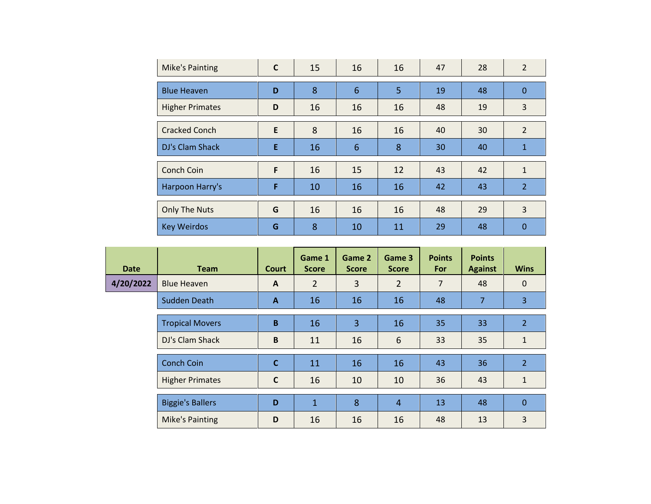| <b>Mike's Painting</b> | C | 15 | 16 | 16             | 47 | 28 | $\overline{2}$ |
|------------------------|---|----|----|----------------|----|----|----------------|
| <b>Blue Heaven</b>     | D | 8  | 6  | $\overline{5}$ | 19 | 48 | $\mathbf{0}$   |
| <b>Higher Primates</b> | D | 16 | 16 | 16             | 48 | 19 | 3              |
| <b>Cracked Conch</b>   | E | 8  | 16 | 16             | 40 | 30 | $\overline{2}$ |
| DJ's Clam Shack        | E | 16 | 6  | 8              | 30 | 40 | $\mathbf{1}$   |
| Conch Coin             | F | 16 | 15 | 12             | 43 | 42 | $\mathbf{1}$   |
| Harpoon Harry's        | F | 10 | 16 | 16             | 42 | 43 | $\overline{2}$ |
| <b>Only The Nuts</b>   | G | 16 | 16 | 16             | 48 | 29 | 3              |
| <b>Key Weirdos</b>     | G | 8  | 10 | 11             | 29 | 48 | 0              |

| <b>Date</b> | <b>Team</b>             | <b>Court</b> | Game 1<br><b>Score</b> | Game 2<br><b>Score</b> | Game 3<br><b>Score</b> | <b>Points</b><br><b>For</b> | <b>Points</b><br><b>Against</b> | <b>Wins</b>    |
|-------------|-------------------------|--------------|------------------------|------------------------|------------------------|-----------------------------|---------------------------------|----------------|
| 4/20/2022   | Blue Heaven             | $\mathsf{A}$ | $\overline{2}$         | 3                      | $\overline{2}$         | $\overline{7}$              | 48                              | $\mathbf 0$    |
|             | Sudden Death            | $\mathbf{A}$ | 16                     | 16                     | 16                     | 48                          | $\overline{7}$                  | 3              |
|             | <b>Tropical Movers</b>  | B            | 16                     | 3                      | 16                     | 35                          | 33                              | $\overline{2}$ |
|             | DJ's Clam Shack         | $\mathsf B$  | 11                     | 16                     | 6                      | 33                          | 35                              | $\mathbf{1}$   |
|             | <b>Conch Coin</b>       | $\mathbf c$  | 11                     | 16                     | 16                     | 43                          | 36                              | $\overline{2}$ |
|             | <b>Higher Primates</b>  | $\mathsf{C}$ | 16                     | 10                     | 10                     | 36                          | 43                              | $\mathbf{1}$   |
|             | <b>Biggie's Ballers</b> | D            | $\mathbf{1}$           | 8                      | $\overline{4}$         | 13                          | 48                              | $\overline{0}$ |
|             | <b>Mike's Painting</b>  | D            | 16                     | 16                     | 16                     | 48                          | 13                              | 3              |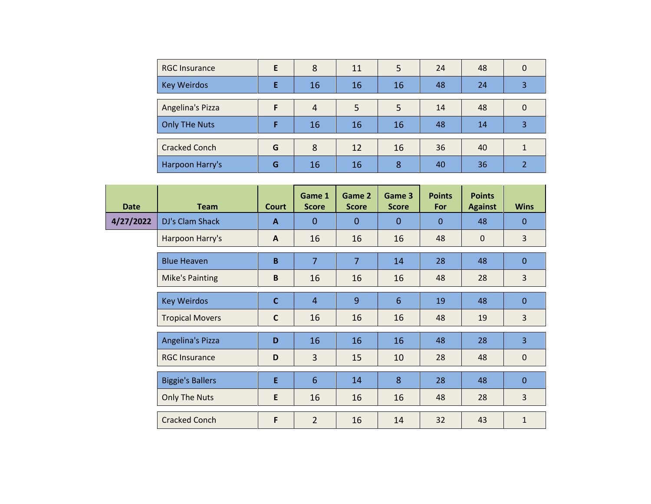| <b>RGC Insurance</b> | E | 8  | 11 | 5  | 24 | 48 | 0 |
|----------------------|---|----|----|----|----|----|---|
| <b>Key Weirdos</b>   |   | 16 | 16 | 16 | 48 | 24 | 3 |
|                      |   |    |    |    |    |    |   |
| Angelina's Pizza     |   | 4  | 5  | 5  | 14 | 48 | 0 |
| <b>Only THe Nuts</b> |   | 16 | 16 | 16 | 48 | 14 | 3 |
|                      |   |    |    |    |    |    |   |
| <b>Cracked Conch</b> | G | 8  | 12 | 16 | 36 | 40 |   |
| Harpoon Harry's      | G | 16 | 16 | 8  | 40 | 36 |   |

| <b>Date</b> | <b>Team</b>             | Court        | Game 1<br><b>Score</b> | Game 2<br><b>Score</b> | Game 3<br><b>Score</b> | <b>Points</b><br>For | <b>Points</b><br><b>Against</b> | <b>Wins</b>    |
|-------------|-------------------------|--------------|------------------------|------------------------|------------------------|----------------------|---------------------------------|----------------|
| 4/27/2022   | DJ's Clam Shack         | $\mathbf{A}$ | $\mathbf{0}$           | $\Omega$               | $\Omega$               | $\mathbf{0}$         | 48                              | $\Omega$       |
|             | Harpoon Harry's         | $\mathbf{A}$ | 16                     | 16                     | 16                     | 48                   | $\mathbf 0$                     | 3              |
|             | <b>Blue Heaven</b>      | $\mathbf B$  | $\overline{7}$         | $\overline{7}$         | 14                     | 28                   | 48                              | $\mathbf 0$    |
|             | <b>Mike's Painting</b>  | B            | 16                     | 16                     | 16                     | 48                   | 28                              | 3              |
|             | <b>Key Weirdos</b>      | $\mathbf c$  | $\overline{4}$         | 9                      | 6                      | 19                   | 48                              | $\Omega$       |
|             | <b>Tropical Movers</b>  | C            | 16                     | 16                     | 16                     | 48                   | 19                              | 3              |
|             | Angelina's Pizza        | D            | 16                     | 16                     | 16                     | 48                   | 28                              | 3              |
|             | <b>RGC Insurance</b>    | D            | 3                      | 15                     | 10                     | 28                   | 48                              | $\mathbf 0$    |
|             | <b>Biggie's Ballers</b> | E            | 6                      | 14                     | 8                      | 28                   | 48                              | $\overline{0}$ |
|             | <b>Only The Nuts</b>    | E            | 16                     | 16                     | 16                     | 48                   | 28                              | 3              |
|             | <b>Cracked Conch</b>    | F            | $\overline{2}$         | 16                     | 14                     | 32                   | 43                              | $\mathbf{1}$   |